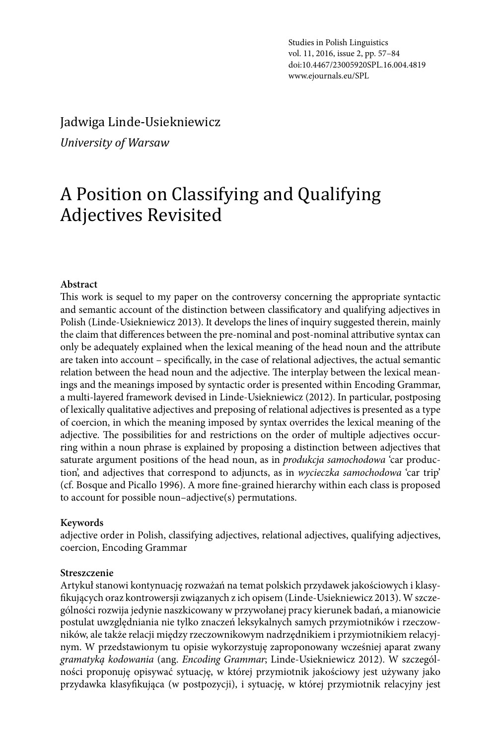Studies in Polish Linguistics vol. 11, 2016, issue 2, pp. 57–84 doi:10.4467/23005920SPL.16.004.4819 www.ejournals.eu/SPL

Jadwiga Linde-Usiekniewicz *University of Warsaw*

# A Position on Classifying and Qualifying Adjectives Revisited

#### **Abstract**

This work is sequel to my paper on the controversy concerning the appropriate syntactic and semantic account of the distinction between classificatory and qualifying adjectives in Polish (Linde-Usiekniewicz 2013). It develops the lines of inquiry suggested therein, mainly the claim that differences between the pre-nominal and post-nominal attributive syntax can only be adequately explained when the lexical meaning of the head noun and the attribute are taken into account – specifically, in the case of relational adjectives, the actual semantic relation between the head noun and the adjective. The interplay between the lexical meanings and the meanings imposed by syntactic order is presented within Encoding Grammar, a multi-layered framework devised in Linde-Usiekniewicz (2012). In particular, postposing of lexically qualitative adjectives and preposing of relational adjectives is presented as a type of coercion, in which the meaning imposed by syntax overrides the lexical meaning of the adjective. The possibilities for and restrictions on the order of multiple adjectives occurring within a noun phrase is explained by proposing a distinction between adjectives that saturate argument positions of the head noun, as in *produkcja samochodowa* 'car production', and adjectives that correspond to adjuncts, as in *wycieczka samochodowa* 'car trip' (cf. Bosque and Picallo 1996). A more fine-grained hierarchy within each class is proposed to account for possible noun–adjective(s) permutations.

#### **Keywords**

adjective order in Polish, classifying adjectives, relational adjectives, qualifying adjectives, coercion, Encoding Grammar

#### **Streszczenie**

Artykuł stanowi kontynuację rozważań na temat polskich przydawek jakościowych i klasyfikujących oraz kontrowersji związanych z ich opisem (Linde-Usiekniewicz 2013). W szczególności rozwija jedynie naszkicowany w przywołanej pracy kierunek badań, a mianowicie postulat uwzględniania nie tylko znaczeń leksykalnych samych przymiotników i rzeczowników, ale także relacji między rzeczownikowym nadrzędnikiem i przymiotnikiem relacyjnym. W przedstawionym tu opisie wykorzystuję zaproponowany wcześniej aparat zwany *gramatyką kodowania* (ang. *Encoding Grammar*; Linde-Usiekniewicz 2012). W szczególności proponuję opisywać sytuację, w której przymiotnik jakościowy jest używany jako przydawka klasyfikująca (w postpozycji), i sytuację, w której przymiotnik relacyjny jest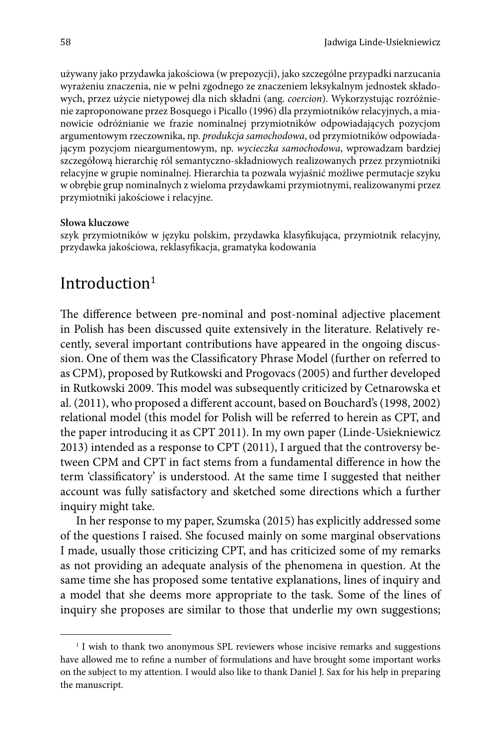używany jako przydawka jakościowa (w prepozycji), jako szczególne przypadki narzucania wyrażeniu znaczenia, nie w pełni zgodnego ze znaczeniem leksykalnym jednostek składowych, przez użycie nietypowej dla nich składni (ang. *coercion*). Wykorzystując rozróżnienie zaproponowane przez Bosquego i Picallo (1996) dla przymiotników relacyjnych, a mianowicie odróżnianie we frazie nominalnej przymiotników odpowiadających pozycjom argumentowym rzeczownika, np. *produkcja samochodowa*, od przymiotników odpowiadającym pozycjom nieargumentowym, np. *wycieczka samochodowa*, wprowadzam bardziej szczegółową hierarchię ról semantyczno-składniowych realizowanych przez przymiotniki relacyjne w grupie nominalnej. Hierarchia ta pozwala wyjaśnić możliwe permutacje szyku w obrębie grup nominalnych z wieloma przydawkami przymiotnymi, realizowanymi przez przymiotniki jakościowe i relacyjne.

#### **Słowa kluczowe**

szyk przymiotników w języku polskim, przydawka klasyfikująca, przymiotnik relacyjny, przydawka jakościowa, reklasyfikacja, gramatyka kodowania

# Introduction<sup>1</sup>

The difference between pre-nominal and post-nominal adjective placement in Polish has been discussed quite extensively in the literature. Relatively recently, several important contributions have appeared in the ongoing discussion. One of them was the Classificatory Phrase Model (further on referred to as CPM), proposed by Rutkowski and Progovacs (2005) and further developed in Rutkowski 2009. This model was subsequently criticized by Cetnarowska et al. (2011), who proposed a different account, based on Bouchard's (1998, 2002) relational model (this model for Polish will be referred to herein as CPT, and the paper introducing it as CPT 2011). In my own paper (Linde-Usiekniewicz 2013) intended as a response to CPT (2011), I argued that the controversy between CPM and CPT in fact stems from a fundamental difference in how the term 'classificatory' is understood. At the same time I suggested that neither account was fully satisfactory and sketched some directions which a further inquiry might take.

In her response to my paper, Szumska (2015) has explicitly addressed some of the questions I raised. She focused mainly on some marginal observations I made, usually those criticizing CPT, and has criticized some of my remarks as not providing an adequate analysis of the phenomena in question. At the same time she has proposed some tentative explanations, lines of inquiry and a model that she deems more appropriate to the task. Some of the lines of inquiry she proposes are similar to those that underlie my own suggestions;

<sup>&</sup>lt;sup>1</sup> I wish to thank two anonymous SPL reviewers whose incisive remarks and suggestions have allowed me to refine a number of formulations and have brought some important works on the subject to my attention. I would also like to thank Daniel J. Sax for his help in preparing the manuscript.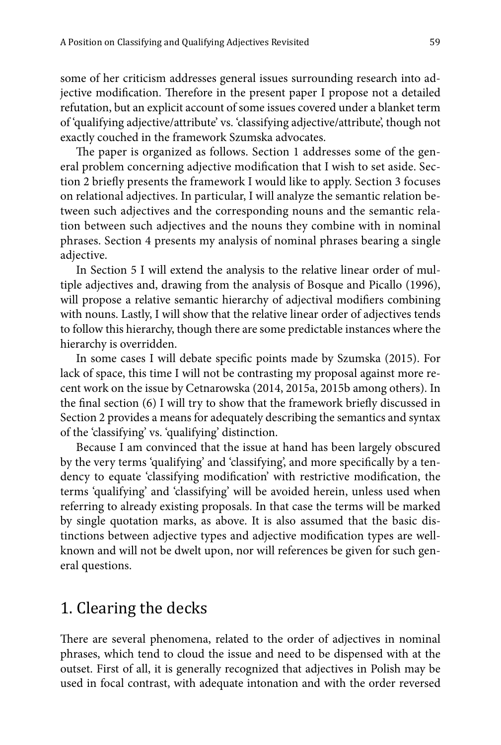some of her criticism addresses general issues surrounding research into adjective modification. Therefore in the present paper I propose not a detailed refutation, but an explicit account of some issues covered under a blanket term of 'qualifying adjective/attribute' vs. 'classifying adjective/attribute', though not exactly couched in the framework Szumska advocates.

The paper is organized as follows. Section 1 addresses some of the general problem concerning adjective modification that I wish to set aside. Section 2 briefly presents the framework I would like to apply. Section 3 focuses on relational adjectives. In particular, I will analyze the semantic relation between such adjectives and the corresponding nouns and the semantic relation between such adjectives and the nouns they combine with in nominal phrases. Section 4 presents my analysis of nominal phrases bearing a single adjective.

In Section 5 I will extend the analysis to the relative linear order of multiple adjectives and, drawing from the analysis of Bosque and Picallo (1996), will propose a relative semantic hierarchy of adjectival modifiers combining with nouns. Lastly, I will show that the relative linear order of adjectives tends to follow this hierarchy, though there are some predictable instances where the hierarchy is overridden.

In some cases I will debate specific points made by Szumska (2015). For lack of space, this time I will not be contrasting my proposal against more recent work on the issue by Cetnarowska (2014, 2015a, 2015b among others). In the final section (6) I will try to show that the framework briefly discussed in Section 2 provides a means for adequately describing the semantics and syntax of the 'classifying' vs. 'qualifying' distinction.

Because I am convinced that the issue at hand has been largely obscured by the very terms 'qualifying' and 'classifying', and more specifically by a tendency to equate 'classifying modification' with restrictive modification, the terms 'qualifying' and 'classifying' will be avoided herein, unless used when referring to already existing proposals. In that case the terms will be marked by single quotation marks, as above. It is also assumed that the basic distinctions between adjective types and adjective modification types are wellknown and will not be dwelt upon, nor will references be given for such general questions.

# 1. Clearing the decks

There are several phenomena, related to the order of adjectives in nominal phrases, which tend to cloud the issue and need to be dispensed with at the outset. First of all, it is generally recognized that adjectives in Polish may be used in focal contrast, with adequate intonation and with the order reversed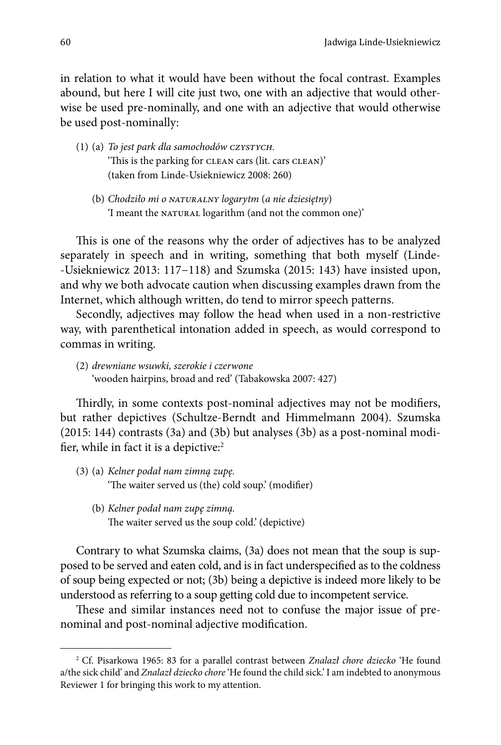in relation to what it would have been without the focal contrast. Examples abound, but here I will cite just two, one with an adjective that would otherwise be used pre-nominally, and one with an adjective that would otherwise be used post-nominally:

- (1) (a) *To jest park dla samochodów czystych.* 'This is the parking for clean cars (lit. cars clean)' (taken from Linde-Usiekniewicz 2008: 260)
	- (b) *Chodziło mi o naturalny logarytm* (*a nie dziesiętny*) 'I meant the NATURAL logarithm (and not the common one)'

This is one of the reasons why the order of adjectives has to be analyzed separately in speech and in writing, something that both myself (Linde- -Usiekniewicz 2013: 117−118) and Szumska (2015: 143) have insisted upon, and why we both advocate caution when discussing examples drawn from the Internet, which although written, do tend to mirror speech patterns.

Secondly, adjectives may follow the head when used in a non-restrictive way, with parenthetical intonation added in speech, as would correspond to commas in writing.

(2) *drewniane wsuwki, szerokie i czerwone* 'wooden hairpins, broad and red' (Tabakowska 2007: 427)

Thirdly, in some contexts post-nominal adjectives may not be modifiers, but rather depictives (Schultze-Berndt and Himmelmann 2004). Szumska (2015: 144) contrasts (3a) and (3b) but analyses (3b) as a post-nominal modifier, while in fact it is a depictive:<sup>2</sup>

- (3) (a) *Kelner podał nam zimną zupę.* 'The waiter served us (the) cold soup.' (modifier)
	- (b) *Kelner podał nam zupę zimną.* The waiter served us the soup cold.' (depictive)

Contrary to what Szumska claims, (3a) does not mean that the soup is supposed to be served and eaten cold, and is in fact underspecified as to the coldness of soup being expected or not; (3b) being a depictive is indeed more likely to be understood as referring to a soup getting cold due to incompetent service.

These and similar instances need not to confuse the major issue of prenominal and post-nominal adjective modification.

<sup>2</sup> Cf. Pisarkowa 1965: 83 for a parallel contrast between *Znalazł chore dziecko* 'He found a/the sick child' and *Znalazł dziecko chore* 'He found the child sick.' I am indebted to anonymous Reviewer 1 for bringing this work to my attention.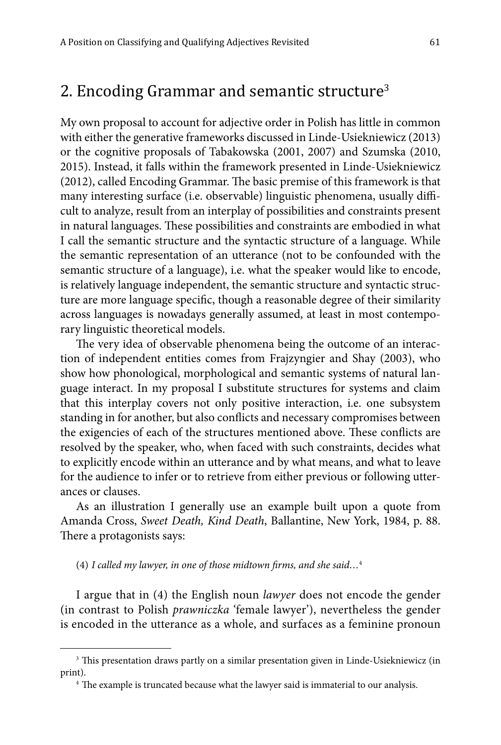### 2. Encoding Grammar and semantic structure<sup>3</sup>

My own proposal to account for adjective order in Polish has little in common with either the generative frameworks discussed in Linde-Usiekniewicz (2013) or the cognitive proposals of Tabakowska (2001, 2007) and Szumska (2010, 2015). Instead, it falls within the framework presented in Linde-Usiekniewicz (2012), called Encoding Grammar. The basic premise of this framework is that many interesting surface (i.e. observable) linguistic phenomena, usually difficult to analyze, result from an interplay of possibilities and constraints present in natural languages. These possibilities and constraints are embodied in what I call the semantic structure and the syntactic structure of a language. While the semantic representation of an utterance (not to be confounded with the semantic structure of a language), i.e. what the speaker would like to encode, is relatively language independent, the semantic structure and syntactic structure are more language specific, though a reasonable degree of their similarity across languages is nowadays generally assumed, at least in most contemporary linguistic theoretical models.

The very idea of observable phenomena being the outcome of an interaction of independent entities comes from Frajzyngier and Shay (2003), who show how phonological, morphological and semantic systems of natural language interact. In my proposal I substitute structures for systems and claim that this interplay covers not only positive interaction, i.e. one subsystem standing in for another, but also conflicts and necessary compromises between the exigencies of each of the structures mentioned above. These conflicts are resolved by the speaker, who, when faced with such constraints, decides what to explicitly encode within an utterance and by what means, and what to leave for the audience to infer or to retrieve from either previous or following utterances or clauses.

As an illustration I generally use an example built upon a quote from Amanda Cross, *Sweet Death, Kind Death*, Ballantine, New York, 1984, p. 88. There a protagonists says:

(4) *I called my lawyer, in one of those midtown firms, and she said…*<sup>4</sup>

I argue that in (4) the English noun *lawyer* does not encode the gender (in contrast to Polish *prawniczka* 'female lawyer'), nevertheless the gender is encoded in the utterance as a whole, and surfaces as a feminine pronoun

<sup>&</sup>lt;sup>3</sup> This presentation draws partly on a similar presentation given in Linde-Usiekniewicz (in print). 4 The example is truncated because what the lawyer said is immaterial to our analysis.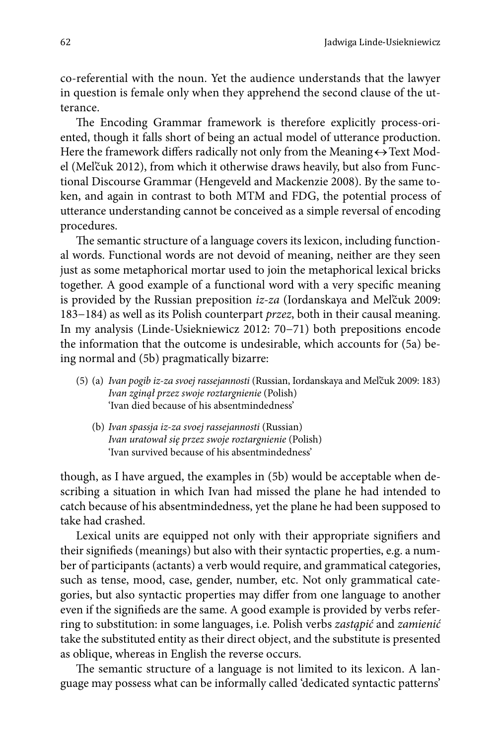co-referential with the noun. Yet the audience understands that the lawyer in question is female only when they apprehend the second clause of the utterance.

The Encoding Grammar framework is therefore explicitly process-oriented, though it falls short of being an actual model of utterance production. Here the framework differs radically not only from the Meaning $\leftrightarrow$ Text Model (Mel'čuk 2012), from which it otherwise draws heavily, but also from Functional Discourse Grammar (Hengeveld and Mackenzie 2008). By the same token, and again in contrast to both MTM and FDG, the potential process of utterance understanding cannot be conceived as a simple reversal of encoding procedures.

The semantic structure of a language covers its lexicon, including functional words. Functional words are not devoid of meaning, neither are they seen just as some metaphorical mortar used to join the metaphorical lexical bricks together. A good example of a functional word with a very specific meaning is provided by the Russian preposition *iz-za* (Iordanskaya and Mel'čuk 2009: 183−184) as well as its Polish counterpart *przez*, both in their causal meaning. In my analysis (Linde-Usiekniewicz 2012: 70−71) both prepositions encode the information that the outcome is undesirable, which accounts for (5a) being normal and (5b) pragmatically bizarre:

- (5) (a) *Ivan pogib iz-za svoej rassejannosti* (Russian, Iordanskaya and Mel'čuk 2009: 183) *Ivan zginął przez swoje roztargnienie* (Polish) 'Ivan died because of his absentmindedness'
	- (b) *Ivan spassja iz-za svoej rassejannosti* (Russian) *Ivan uratował się przez swoje roztargnienie* (Polish) 'Ivan survived because of his absentmindedness'

though, as I have argued, the examples in (5b) would be acceptable when describing a situation in which Ivan had missed the plane he had intended to catch because of his absentmindedness, yet the plane he had been supposed to take had crashed.

Lexical units are equipped not only with their appropriate signifiers and their signifieds (meanings) but also with their syntactic properties, e.g. a number of participants (actants) a verb would require, and grammatical categories, such as tense, mood, case, gender, number, etc. Not only grammatical categories, but also syntactic properties may differ from one language to another even if the signifieds are the same. A good example is provided by verbs referring to substitution: in some languages, i.e. Polish verbs *zastąpić* and *zamienić* take the substituted entity as their direct object, and the substitute is presented as oblique, whereas in English the reverse occurs.

The semantic structure of a language is not limited to its lexicon. A language may possess what can be informally called 'dedicated syntactic patterns'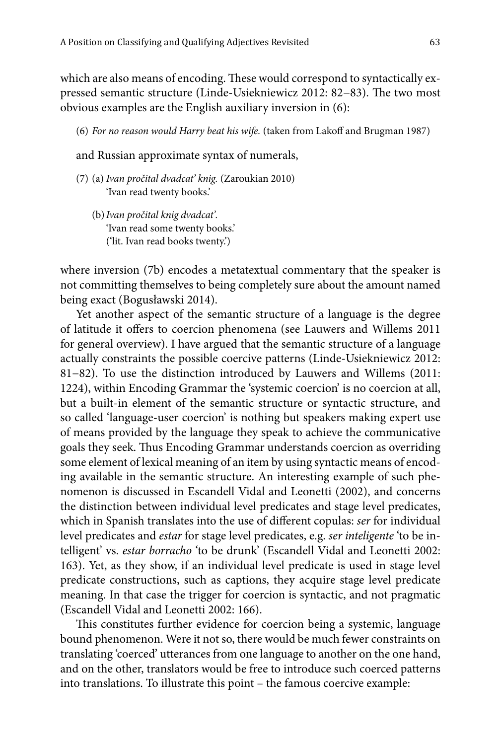which are also means of encoding. These would correspond to syntactically expressed semantic structure (Linde-Usiekniewicz 2012: 82−83). The two most obvious examples are the English auxiliary inversion in (6):

(6) *For no reason would Harry beat his wife.* (taken from Lakoff and Brugman 1987)

and Russian approximate syntax of numerals,

- (7) (a) *Ivan pročital dvadcat' knig.* (Zaroukian 2010) 'Ivan read twenty books.'
	- (b)*Ivan pročital knig dvadcat'.* 'Ivan read some twenty books.' ('lit. Ivan read books twenty.')

where inversion (7b) encodes a metatextual commentary that the speaker is not committing themselves to being completely sure about the amount named being exact (Bogusławski 2014).

Yet another aspect of the semantic structure of a language is the degree of latitude it offers to coercion phenomena (see Lauwers and Willems 2011 for general overview). I have argued that the semantic structure of a language actually constraints the possible coercive patterns (Linde-Usiekniewicz 2012: 81−82). To use the distinction introduced by Lauwers and Willems (2011: 1224), within Encoding Grammar the 'systemic coercion' is no coercion at all, but a built-in element of the semantic structure or syntactic structure, and so called 'language-user coercion' is nothing but speakers making expert use of means provided by the language they speak to achieve the communicative goals they seek. Thus Encoding Grammar understands coercion as overriding some element of lexical meaning of an item by using syntactic means of encoding available in the semantic structure. An interesting example of such phenomenon is discussed in Escandell Vidal and Leonetti (2002), and concerns the distinction between individual level predicates and stage level predicates, which in Spanish translates into the use of different copulas: *ser* for individual level predicates and *estar* for stage level predicates, e.g. *ser inteligente* 'to be intelligent' vs. *estar borracho* 'to be drunk' (Escandell Vidal and Leonetti 2002: 163). Yet, as they show, if an individual level predicate is used in stage level predicate constructions, such as captions, they acquire stage level predicate meaning. In that case the trigger for coercion is syntactic, and not pragmatic (Escandell Vidal and Leonetti 2002: 166).

This constitutes further evidence for coercion being a systemic, language bound phenomenon. Were it not so, there would be much fewer constraints on translating 'coerced' utterances from one language to another on the one hand, and on the other, translators would be free to introduce such coerced patterns into translations. To illustrate this point – the famous coercive example: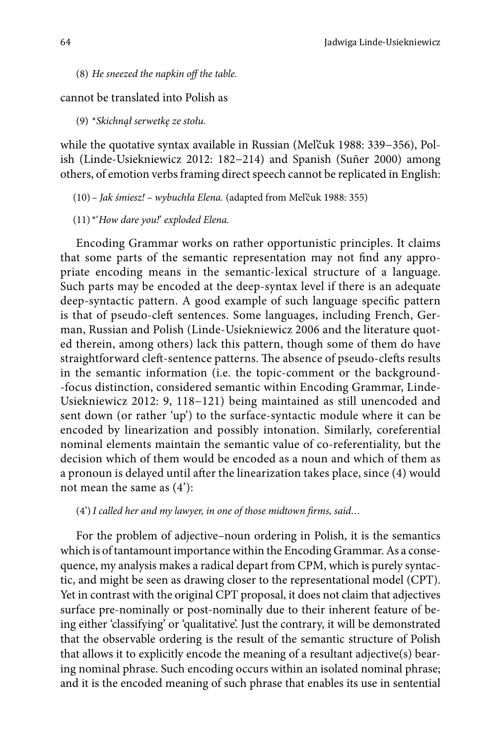(8) *He sneezed the napkin off the table.*

cannot be translated into Polish as

(9) \**Skichnął serwetkę ze stołu.*

while the quotative syntax available in Russian (Mel'čuk 1988: 339−356), Polish (Linde-Usiekniewicz 2012: 182−214) and Spanish (Suñer 2000) among others, of emotion verbs framing direct speech cannot be replicated in English:

(10) *– Jak śmiesz! – wybuchła Elena.* (adapted from Mel'čuk 1988: 355)

(11) \*'*How dare you!*' *exploded Elena.*

Encoding Grammar works on rather opportunistic principles. It claims that some parts of the semantic representation may not find any appropriate encoding means in the semantic-lexical structure of a language. Such parts may be encoded at the deep-syntax level if there is an adequate deep-syntactic pattern. A good example of such language specific pattern is that of pseudo-cleft sentences. Some languages, including French, German, Russian and Polish (Linde-Usiekniewicz 2006 and the literature quoted therein, among others) lack this pattern, though some of them do have straightforward cleft-sentence patterns. The absence of pseudo-clefts results in the semantic information (i.e. the topic-comment or the background- -focus distinction, considered semantic within Encoding Grammar, Linde-Usiekniewicz 2012: 9, 118−121) being maintained as still unencoded and sent down (or rather 'up') to the surface-syntactic module where it can be encoded by linearization and possibly intonation. Similarly, coreferential nominal elements maintain the semantic value of co-referentiality, but the decision which of them would be encoded as a noun and which of them as a pronoun is delayed until after the linearization takes place, since (4) would not mean the same as (4'):

#### (4')*I called her and my lawyer, in one of those midtown firms, said…*

For the problem of adjective–noun ordering in Polish, it is the semantics which is of tantamount importance within the Encoding Grammar. As a consequence, my analysis makes a radical depart from CPM, which is purely syntactic, and might be seen as drawing closer to the representational model (CPT). Yet in contrast with the original CPT proposal, it does not claim that adjectives surface pre-nominally or post-nominally due to their inherent feature of being either 'classifying' or 'qualitative'. Just the contrary, it will be demonstrated that the observable ordering is the result of the semantic structure of Polish that allows it to explicitly encode the meaning of a resultant adjective(s) bearing nominal phrase. Such encoding occurs within an isolated nominal phrase; and it is the encoded meaning of such phrase that enables its use in sentential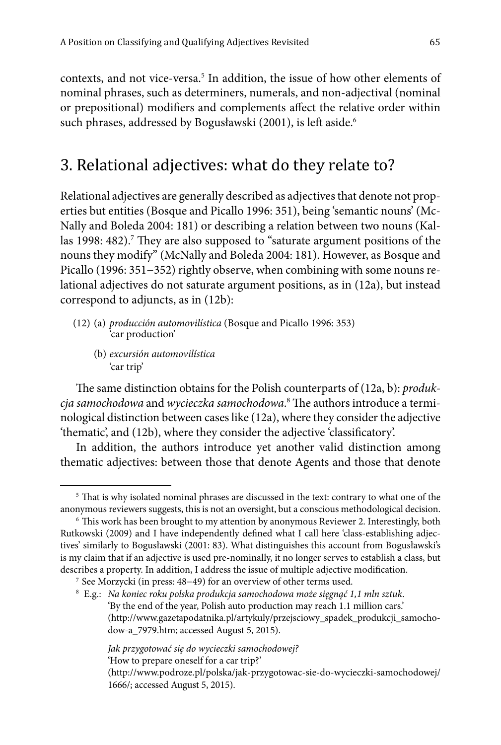contexts, and not vice-versa.<sup>5</sup> In addition, the issue of how other elements of nominal phrases, such as determiners, numerals, and non-adjectival (nominal or prepositional) modifiers and complements affect the relative order within such phrases, addressed by Bogusławski (2001), is left aside.<sup>6</sup>

### 3. Relational adjectives: what do they relate to?

Relational adjectives are generally described as adjectives that denote not properties but entities (Bosque and Picallo 1996: 351), being 'semantic nouns' (Mc-Nally and Boleda 2004: 181) or describing a relation between two nouns (Kallas 1998: 482).<sup>7</sup> They are also supposed to "saturate argument positions of the nouns they modify" (McNally and Boleda 2004: 181). However, as Bosque and Picallo (1996: 351−352) rightly observe, when combining with some nouns relational adjectives do not saturate argument positions, as in (12a), but instead correspond to adjuncts, as in (12b):

- (12) (a) *producción automovilística* (Bosque and Picallo 1996: 353) 'car production'
	- (b) *excursión automovilística* 'car trip'

The same distinction obtains for the Polish counterparts of (12a, b): *produkcja samochodowa* and *wycieczka samochodowa*. <sup>8</sup> The authors introduce a terminological distinction between cases like (12a), where they consider the adjective 'thematic', and (12b), where they consider the adjective 'classificatory'.

In addition, the authors introduce yet another valid distinction among thematic adjectives: between those that denote Agents and those that denote

<sup>&</sup>lt;sup>5</sup> That is why isolated nominal phrases are discussed in the text: contrary to what one of the anonymous reviewers suggests, this is not an oversight, but a conscious methodological decision. 6 This work has been brought to my attention by anonymous Reviewer 2. Interestingly, both

Rutkowski (2009) and I have independently defined what I call here 'class-establishing adjectives' similarly to Bogusławski (2001: 83). What distinguishes this account from Bogusławski's is my claim that if an adjective is used pre-nominally, it no longer serves to establish a class, but describes a property. In addition, I address the issue of multiple adjective modification.

<sup>7</sup> See Morzycki (in press: 48−49) for an overview of other terms used.

<sup>8</sup> E.g.: *Na koniec roku polska produkcja samochodowa może sięgnąć 1,1 mln sztuk*. 'By the end of the year, Polish auto production may reach 1.1 million cars.' (http://www.gazetapodatnika.pl/artykuly/przejsciowy\_spadek\_produkcji\_samochodow-a\_7979.htm; accessed August 5, 2015).

*Jak przygotować się do wycieczki samochodowej?* 'How to prepare oneself for a car trip?'

<sup>(</sup>http://www.podroze.pl/polska/jak-przygotowac-sie-do-wycieczki-samochodowej/ 1666/; accessed August 5, 2015).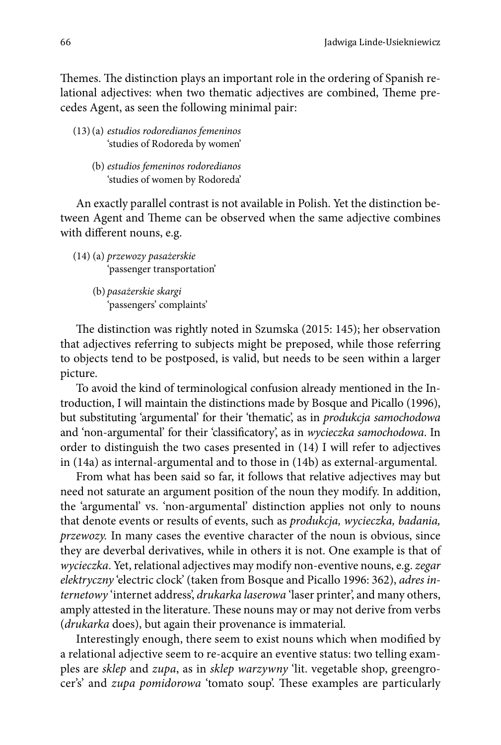Themes. The distinction plays an important role in the ordering of Spanish relational adjectives: when two thematic adjectives are combined, Theme precedes Agent, as seen the following minimal pair:

- (13)(a) *estudios rodoredianos femeninos* 'studies of Rodoreda by women'
	- (b) *estudios femeninos rodoredianos* 'studies of women by Rodoreda'

An exactly parallel contrast is not available in Polish. Yet the distinction between Agent and Theme can be observed when the same adjective combines with different nouns, e.g.

- (14) (a) *przewozy pasażerskie* 'passenger transportation'
	- (b) *pasażerskie skargi* 'passengers' complaints'

The distinction was rightly noted in Szumska (2015: 145); her observation that adjectives referring to subjects might be preposed, while those referring to objects tend to be postposed, is valid, but needs to be seen within a larger picture.

To avoid the kind of terminological confusion already mentioned in the Introduction, I will maintain the distinctions made by Bosque and Picallo (1996), but substituting 'argumental' for their 'thematic', as in *produkcja samochodowa* and 'non-argumental' for their 'classificatory', as in *wycieczka samochodowa*. In order to distinguish the two cases presented in (14) I will refer to adjectives in (14a) as internal-argumental and to those in (14b) as external-argumental.

From what has been said so far, it follows that relative adjectives may but need not saturate an argument position of the noun they modify. In addition, the 'argumental' vs. 'non-argumental' distinction applies not only to nouns that denote events or results of events, such as *produkcja, wycieczka, badania, przewozy.* In many cases the eventive character of the noun is obvious, since they are deverbal derivatives, while in others it is not. One example is that of *wycieczka*. Yet, relational adjectives may modify non-eventive nouns, e.g. *zegar elektryczny* 'electric clock' (taken from Bosque and Picallo 1996: 362), *adres internetowy* 'internet address', *drukarka laserowa* 'laser printer', and many others, amply attested in the literature. These nouns may or may not derive from verbs (*drukarka* does), but again their provenance is immaterial.

Interestingly enough, there seem to exist nouns which when modified by a relational adjective seem to re-acquire an eventive status: two telling examples are *sklep* and *zupa*, as in *sklep warzywny* 'lit. vegetable shop, greengrocer's' and *zupa pomidorowa* 'tomato soup'. These examples are particularly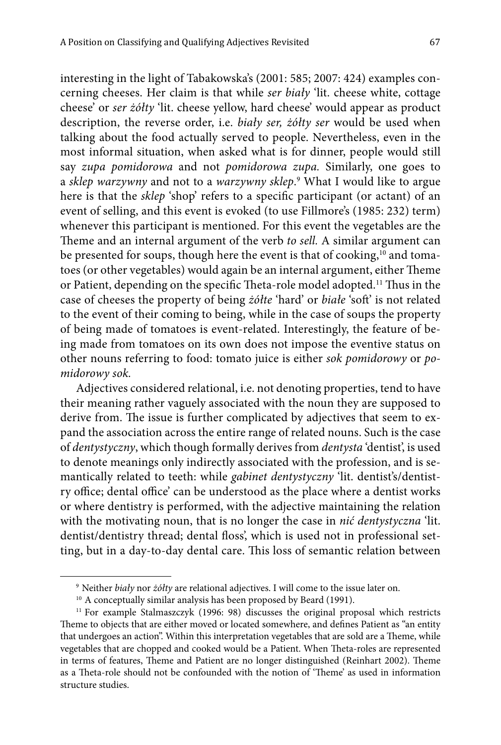interesting in the light of Tabakowska's (2001: 585; 2007: 424) examples concerning cheeses. Her claim is that while *ser biały* 'lit. cheese white, cottage cheese' or *ser żółty* 'lit. cheese yellow, hard cheese' would appear as product description, the reverse order, i.e. *biały ser, żółty ser* would be used when talking about the food actually served to people. Nevertheless, even in the most informal situation, when asked what is for dinner, people would still say *zupa pomidorowa* and not *pomidorowa zupa.* Similarly, one goes to a *sklep warzywny* and not to a *warzywny sklep*. <sup>9</sup> What I would like to argue here is that the *sklep* 'shop' refers to a specific participant (or actant) of an event of selling, and this event is evoked (to use Fillmore's (1985: 232) term) whenever this participant is mentioned. For this event the vegetables are the Theme and an internal argument of the verb *to sell.* A similar argument can be presented for soups, though here the event is that of cooking,<sup>10</sup> and tomatoes (or other vegetables) would again be an internal argument, either Theme or Patient, depending on the specific Theta-role model adopted.11 Thus in the case of cheeses the property of being *żółte* 'hard' or *białe* 'soft' is not related to the event of their coming to being, while in the case of soups the property of being made of tomatoes is event-related. Interestingly, the feature of being made from tomatoes on its own does not impose the eventive status on other nouns referring to food: tomato juice is either *sok pomidorowy* or *pomidorowy sok.*

Adjectives considered relational, i.e. not denoting properties, tend to have their meaning rather vaguely associated with the noun they are supposed to derive from. The issue is further complicated by adjectives that seem to expand the association across the entire range of related nouns. Such is the case of *dentystyczny*, which though formally derives from *dentysta* 'dentist', is used to denote meanings only indirectly associated with the profession, and is semantically related to teeth: while *gabinet dentystyczny* 'lit. dentist's/dentistry office; dental office' can be understood as the place where a dentist works or where dentistry is performed, with the adjective maintaining the relation with the motivating noun, that is no longer the case in *nić dentystyczna* 'lit. dentist/dentistry thread; dental floss', which is used not in professional setting, but in a day-to-day dental care. This loss of semantic relation between

<sup>9</sup> Neither *biały* nor *żółty* are relational adjectives. I will come to the issue later on.

<sup>&</sup>lt;sup>10</sup> A conceptually similar analysis has been proposed by Beard (1991).

<sup>&</sup>lt;sup>11</sup> For example Stalmaszczyk (1996: 98) discusses the original proposal which restricts Theme to objects that are either moved or located somewhere, and defines Patient as "an entity that undergoes an action". Within this interpretation vegetables that are sold are a Theme, while vegetables that are chopped and cooked would be a Patient. When Theta-roles are represented in terms of features, Theme and Patient are no longer distinguished (Reinhart 2002). Theme as a Theta-role should not be confounded with the notion of 'Theme' as used in information structure studies.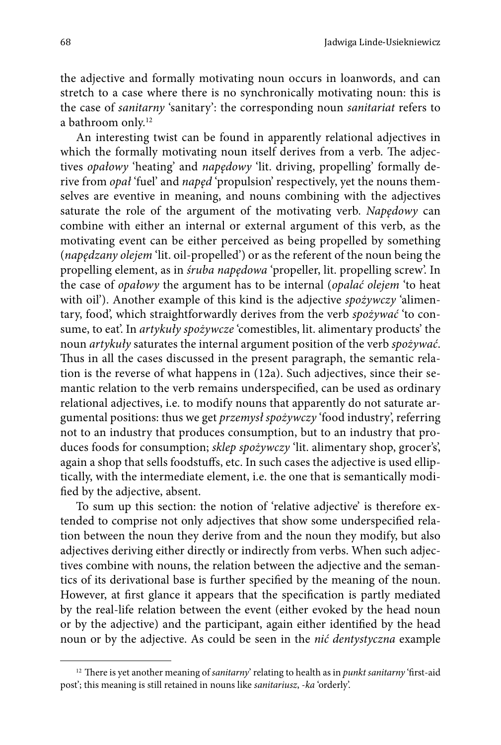the adjective and formally motivating noun occurs in loanwords, and can stretch to a case where there is no synchronically motivating noun: this is the case of *sanitarny* 'sanitary': the corresponding noun *sanitariat* refers to a bathroom only.12

An interesting twist can be found in apparently relational adjectives in which the formally motivating noun itself derives from a verb. The adjectives *opałowy* 'heating' and *napędowy* 'lit. driving, propelling' formally derive from *opał* 'fuel' and *napęd* 'propulsion' respectively, yet the nouns themselves are eventive in meaning, and nouns combining with the adjectives saturate the role of the argument of the motivating verb. *Napędowy* can combine with either an internal or external argument of this verb, as the motivating event can be either perceived as being propelled by something (*napędzany olejem* 'lit. oil-propelled') or as the referent of the noun being the propelling element, as in *śruba napędowa* 'propeller, lit. propelling screw'. In the case of *opałowy* the argument has to be internal (*opalać olejem* 'to heat with oil'). Another example of this kind is the adjective *spożywczy* 'alimentary, food', which straightforwardly derives from the verb *spożywać* 'to consume, to eat'. In *artykuły spożywcze* 'comestibles, lit. alimentary products' the noun *artykuły* saturates the internal argument position of the verb *spożywać*. Thus in all the cases discussed in the present paragraph, the semantic relation is the reverse of what happens in (12a). Such adjectives, since their semantic relation to the verb remains underspecified, can be used as ordinary relational adjectives, i.e. to modify nouns that apparently do not saturate argumental positions: thus we get *przemysł spożywczy* 'food industry', referring not to an industry that produces consumption, but to an industry that produces foods for consumption; *sklep spożywczy* 'lit. alimentary shop, grocer's', again a shop that sells foodstuffs, etc. In such cases the adjective is used elliptically, with the intermediate element, i.e. the one that is semantically modified by the adjective, absent.

To sum up this section: the notion of 'relative adjective' is therefore extended to comprise not only adjectives that show some underspecified relation between the noun they derive from and the noun they modify, but also adjectives deriving either directly or indirectly from verbs. When such adjectives combine with nouns, the relation between the adjective and the semantics of its derivational base is further specified by the meaning of the noun. However, at first glance it appears that the specification is partly mediated by the real-life relation between the event (either evoked by the head noun or by the adjective) and the participant, again either identified by the head noun or by the adjective. As could be seen in the *nić dentystyczna* example

<sup>12</sup> There is yet another meaning of *sanitarny*' relating to health as in *punkt sanitarny* 'first-aid post'; this meaning is still retained in nouns like *sanitariusz*, -*ka* 'orderly'.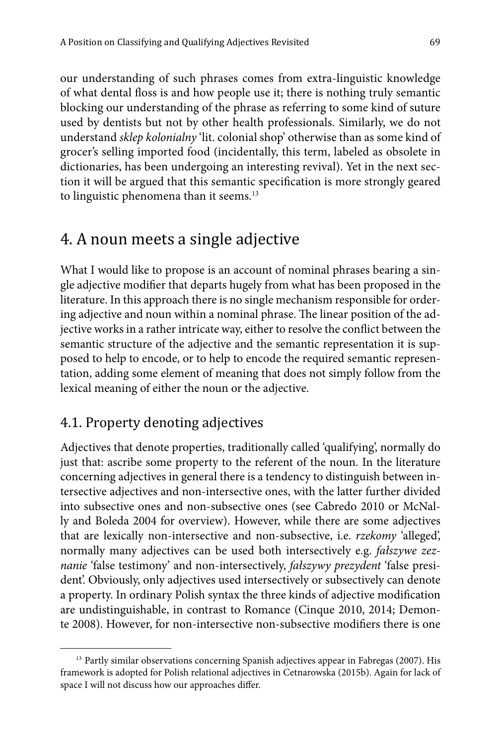our understanding of such phrases comes from extra-linguistic knowledge of what dental floss is and how people use it; there is nothing truly semantic blocking our understanding of the phrase as referring to some kind of suture used by dentists but not by other health professionals. Similarly, we do not understand *sklep kolonialny* 'lit. colonial shop' otherwise than as some kind of grocer's selling imported food (incidentally, this term, labeled as obsolete in dictionaries, has been undergoing an interesting revival). Yet in the next section it will be argued that this semantic specification is more strongly geared to linguistic phenomena than it seems.<sup>13</sup>

### 4. A noun meets a single adjective

What I would like to propose is an account of nominal phrases bearing a single adjective modifier that departs hugely from what has been proposed in the literature. In this approach there is no single mechanism responsible for ordering adjective and noun within a nominal phrase. The linear position of the adjective works in a rather intricate way, either to resolve the conflict between the semantic structure of the adjective and the semantic representation it is supposed to help to encode, or to help to encode the required semantic representation, adding some element of meaning that does not simply follow from the lexical meaning of either the noun or the adjective.

### 4.1. Property denoting adjectives

Adjectives that denote properties, traditionally called 'qualifying', normally do just that: ascribe some property to the referent of the noun. In the literature concerning adjectives in general there is a tendency to distinguish between intersective adjectives and non-intersective ones, with the latter further divided into subsective ones and non-subsective ones (see Cabredo 2010 or McNally and Boleda 2004 for overview). However, while there are some adjectives that are lexically non-intersective and non-subsective, i.e. *rzekomy* 'alleged', normally many adjectives can be used both intersectively e.g. *fałszywe zeznanie* 'false testimony' and non-intersectively, *fałszywy prezydent* 'false president'. Obviously, only adjectives used intersectively or subsectively can denote a property. In ordinary Polish syntax the three kinds of adjective modification are undistinguishable, in contrast to Romance (Cinque 2010, 2014; Demonte 2008). However, for non-intersective non-subsective modifiers there is one

<sup>&</sup>lt;sup>13</sup> Partly similar observations concerning Spanish adjectives appear in Fabregas (2007). His framework is adopted for Polish relational adjectives in Cetnarowska (2015b). Again for lack of space I will not discuss how our approaches differ.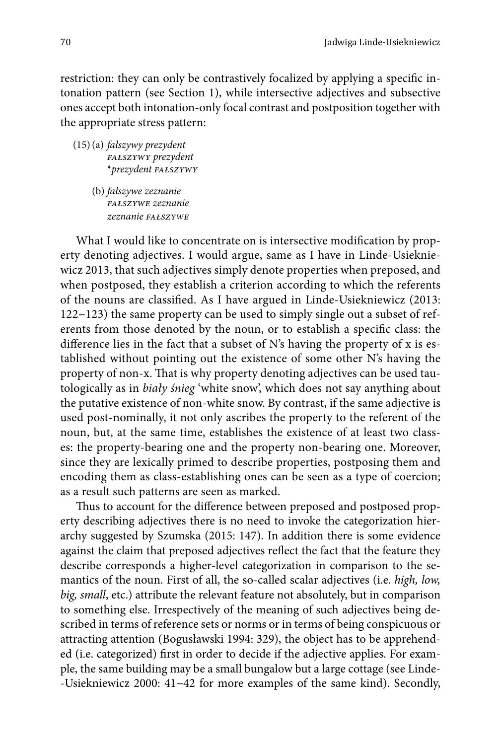restriction: they can only be contrastively focalized by applying a specific intonation pattern (see Section 1), while intersective adjectives and subsective ones accept both intonation-only focal contrast and postposition together with the appropriate stress pattern:

(15)(a) *fałszywy prezydent fałszywy prezydent* \**prezydent fałszywy*

> (b) *fałszywe zeznanie fałszywe zeznanie zeznanie fałszywe*

What I would like to concentrate on is intersective modification by property denoting adjectives. I would argue, same as I have in Linde-Usiekniewicz 2013, that such adjectives simply denote properties when preposed, and when postposed, they establish a criterion according to which the referents of the nouns are classified. As I have argued in Linde-Usiekniewicz (2013: 122−123) the same property can be used to simply single out a subset of referents from those denoted by the noun, or to establish a specific class: the difference lies in the fact that a subset of N's having the property of x is established without pointing out the existence of some other N's having the property of non-x. That is why property denoting adjectives can be used tautologically as in *biały śnieg* 'white snow', which does not say anything about the putative existence of non-white snow. By contrast, if the same adjective is used post-nominally, it not only ascribes the property to the referent of the noun, but, at the same time, establishes the existence of at least two classes: the property-bearing one and the property non-bearing one. Moreover, since they are lexically primed to describe properties, postposing them and encoding them as class-establishing ones can be seen as a type of coercion; as a result such patterns are seen as marked.

Thus to account for the difference between preposed and postposed property describing adjectives there is no need to invoke the categorization hierarchy suggested by Szumska (2015: 147). In addition there is some evidence against the claim that preposed adjectives reflect the fact that the feature they describe corresponds a higher-level categorization in comparison to the semantics of the noun. First of all, the so-called scalar adjectives (i.e. *high, low, big, small*, etc.) attribute the relevant feature not absolutely, but in comparison to something else. Irrespectively of the meaning of such adjectives being described in terms of reference sets or norms or in terms of being conspicuous or attracting attention (Bogusławski 1994: 329), the object has to be apprehended (i.e. categorized) first in order to decide if the adjective applies. For example, the same building may be a small bungalow but a large cottage (see Linde- -Usiekniewicz 2000: 41−42 for more examples of the same kind). Secondly,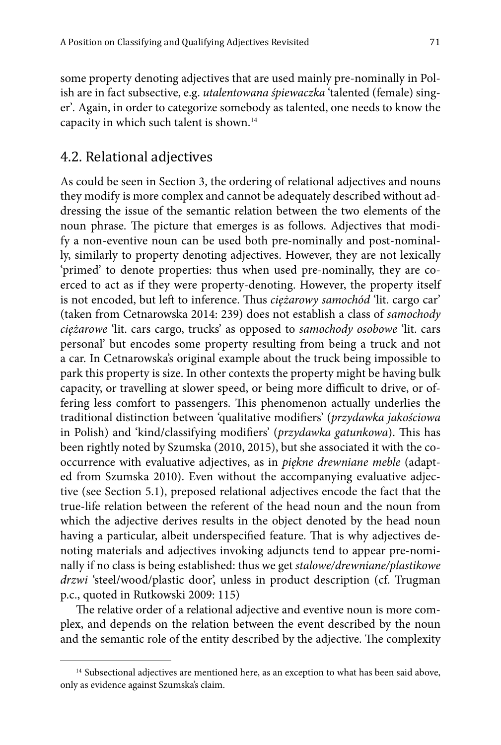some property denoting adjectives that are used mainly pre-nominally in Polish are in fact subsective, e.g. *utalentowana śpiewaczka* 'talented (female) singer'*.* Again, in order to categorize somebody as talented, one needs to know the capacity in which such talent is shown.14

#### 4.2. Relational adjectives

As could be seen in Section 3, the ordering of relational adjectives and nouns they modify is more complex and cannot be adequately described without addressing the issue of the semantic relation between the two elements of the noun phrase. The picture that emerges is as follows. Adjectives that modify a non-eventive noun can be used both pre-nominally and post-nominally, similarly to property denoting adjectives. However, they are not lexically 'primed' to denote properties: thus when used pre-nominally, they are coerced to act as if they were property-denoting. However, the property itself is not encoded, but left to inference. Thus *ciężarowy samochód* 'lit. cargo car' (taken from Cetnarowska 2014: 239) does not establish a class of *samochody ciężarowe* 'lit. cars cargo, trucks' as opposed to *samochody osobowe* 'lit. cars personal' but encodes some property resulting from being a truck and not a car. In Cetnarowska's original example about the truck being impossible to park this property is size. In other contexts the property might be having bulk capacity, or travelling at slower speed, or being more difficult to drive, or offering less comfort to passengers. This phenomenon actually underlies the traditional distinction between 'qualitative modifiers' (*przydawka jakościowa*  in Polish) and 'kind/classifying modifiers' (*przydawka gatunkowa*). This has been rightly noted by Szumska (2010, 2015), but she associated it with the cooccurrence with evaluative adjectives, as in *piękne drewniane meble* (adapted from Szumska 2010). Even without the accompanying evaluative adjective (see Section 5.1), preposed relational adjectives encode the fact that the true-life relation between the referent of the head noun and the noun from which the adjective derives results in the object denoted by the head noun having a particular, albeit underspecified feature. That is why adjectives denoting materials and adjectives invoking adjuncts tend to appear pre-nominally if no class is being established: thus we get *stalowe/drewniane/plastikowe drzwi* 'steel/wood/plastic door', unless in product description (cf. Trugman p.c., quoted in Rutkowski 2009: 115)

The relative order of a relational adjective and eventive noun is more complex, and depends on the relation between the event described by the noun and the semantic role of the entity described by the adjective. The complexity

<sup>&</sup>lt;sup>14</sup> Subsectional adjectives are mentioned here, as an exception to what has been said above, only as evidence against Szumska's claim.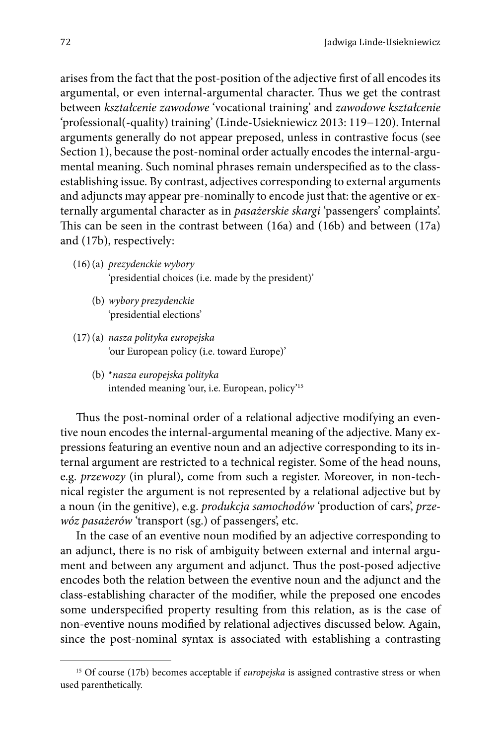arises from the fact that the post-position of the adjective first of all encodes its argumental, or even internal-argumental character. Thus we get the contrast between *kształcenie zawodowe* 'vocational training' and *zawodowe kształcenie*  'professional(-quality) training' (Linde-Usiekniewicz 2013: 119*−*120). Internal arguments generally do not appear preposed, unless in contrastive focus (see Section 1), because the post-nominal order actually encodes the internal-argumental meaning. Such nominal phrases remain underspecified as to the classestablishing issue. By contrast, adjectives corresponding to external arguments and adjuncts may appear pre-nominally to encode just that: the agentive or externally argumental character as in *pasażerskie skargi* 'passengers' complaints'. This can be seen in the contrast between (16a) and (16b) and between (17a) and (17b), respectively:

- (16)(a) *prezydenckie wybory* 'presidential choices (i.e. made by the president)'
	- (b) *wybory prezydenckie* 'presidential elections'
- (17)(a) *nasza polityka europejska* 'our European policy (i.e. toward Europe)'
	- (b) \**nasza europejska polityka* intended meaning 'our, i.e. European, policy'15

Thus the post-nominal order of a relational adjective modifying an eventive noun encodes the internal-argumental meaning of the adjective. Many expressions featuring an eventive noun and an adjective corresponding to its internal argument are restricted to a technical register. Some of the head nouns, e.g. *przewozy* (in plural), come from such a register. Moreover, in non-technical register the argument is not represented by a relational adjective but by a noun (in the genitive), e.g. *produkcja samochodów* 'production of cars', *przewóz pasażerów* 'transport (sg.) of passengers', etc.

In the case of an eventive noun modified by an adjective corresponding to an adjunct, there is no risk of ambiguity between external and internal argument and between any argument and adjunct. Thus the post-posed adjective encodes both the relation between the eventive noun and the adjunct and the class-establishing character of the modifier, while the preposed one encodes some underspecified property resulting from this relation, as is the case of non-eventive nouns modified by relational adjectives discussed below. Again, since the post-nominal syntax is associated with establishing a contrasting

<sup>15</sup> Of course (17b) becomes acceptable if *europejska* is assigned contrastive stress or when used parenthetically.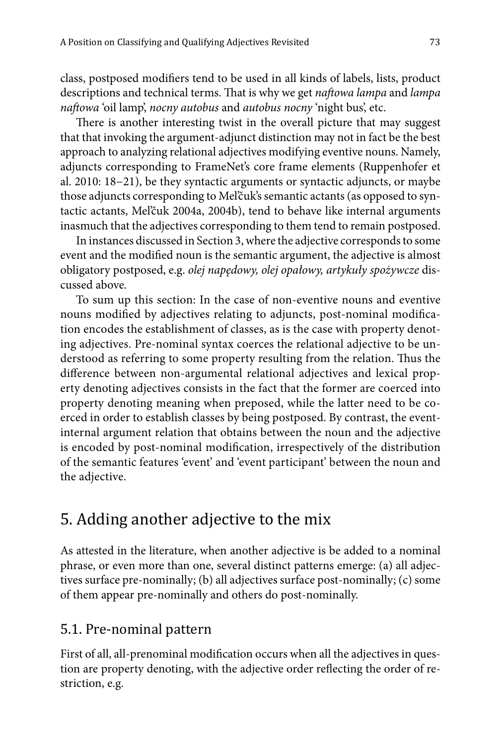class, postposed modifiers tend to be used in all kinds of labels, lists, product descriptions and technical terms. That is why we get *naftowa lampa* and *lampa naftowa* 'oil lamp', *nocny autobus* and *autobus nocny* 'night bus', etc.

There is another interesting twist in the overall picture that may suggest that that invoking the argument-adjunct distinction may not in fact be the best approach to analyzing relational adjectives modifying eventive nouns. Namely, adjuncts corresponding to FrameNet's core frame elements (Ruppenhofer et al. 2010: 18−21), be they syntactic arguments or syntactic adjuncts, or maybe those adjuncts corresponding to Mel'čuk's semantic actants (as opposed to syntactic actants, Mel'čuk 2004a, 2004b), tend to behave like internal arguments inasmuch that the adjectives corresponding to them tend to remain postposed.

In instances discussed in Section 3, where the adjective corresponds to some event and the modified noun is the semantic argument, the adjective is almost obligatory postposed, e.g. *olej napędowy, olej opałowy, artykuły spożywcze* discussed above.

To sum up this section: In the case of non-eventive nouns and eventive nouns modified by adjectives relating to adjuncts, post-nominal modification encodes the establishment of classes, as is the case with property denoting adjectives. Pre-nominal syntax coerces the relational adjective to be understood as referring to some property resulting from the relation. Thus the difference between non-argumental relational adjectives and lexical property denoting adjectives consists in the fact that the former are coerced into property denoting meaning when preposed, while the latter need to be coerced in order to establish classes by being postposed. By contrast, the eventinternal argument relation that obtains between the noun and the adjective is encoded by post-nominal modification, irrespectively of the distribution of the semantic features 'event' and 'event participant' between the noun and the adjective.

# 5. Adding another adjective to the mix

As attested in the literature, when another adjective is be added to a nominal phrase, or even more than one, several distinct patterns emerge: (a) all adjectives surface pre-nominally; (b) all adjectives surface post-nominally; (c) some of them appear pre-nominally and others do post-nominally.

#### 5.1. Pre-nominal pattern

First of all, all-prenominal modification occurs when all the adjectives in question are property denoting, with the adjective order reflecting the order of restriction, e.g.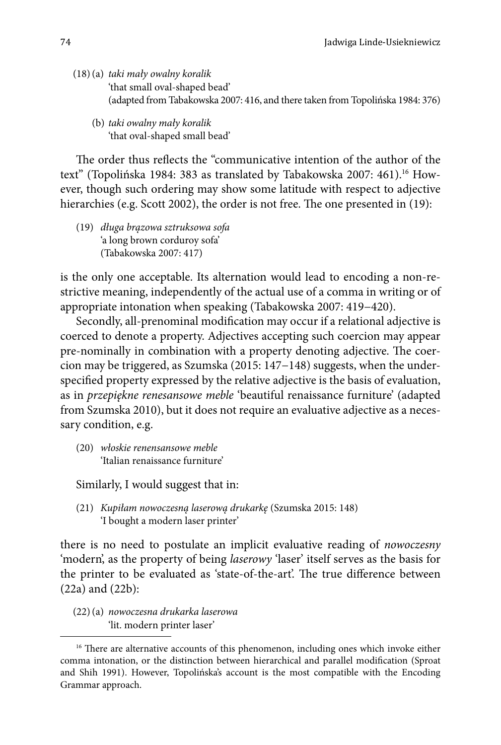- (18)(a) *taki mały owalny koralik* 'that small oval-shaped bead' (adapted from Tabakowska 2007: 416, and there taken from Topolińska 1984: 376)
	- (b) *taki owalny mały koralik* 'that oval-shaped small bead'

The order thus reflects the "communicative intention of the author of the text" (Topolińska 1984: 383 as translated by Tabakowska 2007: 461).<sup>16</sup> However, though such ordering may show some latitude with respect to adjective hierarchies (e.g. Scott 2002), the order is not free. The one presented in (19):

(19) *długa brązowa sztruksowa sofa* 'a long brown corduroy sofa' (Tabakowska 2007: 417)

is the only one acceptable. Its alternation would lead to encoding a non-restrictive meaning, independently of the actual use of a comma in writing or of appropriate intonation when speaking (Tabakowska 2007: 419−420).

Secondly, all-prenominal modification may occur if a relational adjective is coerced to denote a property. Adjectives accepting such coercion may appear pre-nominally in combination with a property denoting adjective. The coercion may be triggered, as Szumska (2015: 147−148) suggests, when the underspecified property expressed by the relative adjective is the basis of evaluation, as in *przepiękne renesansowe meble* 'beautiful renaissance furniture' (adapted from Szumska 2010), but it does not require an evaluative adjective as a necessary condition, e.g.

(20) *włoskie renensansowe meble* 'Italian renaissance furniture'

Similarly, I would suggest that in:

(21) *Kupiłam nowoczesną laserową drukarkę* (Szumska 2015: 148) 'I bought a modern laser printer'

there is no need to postulate an implicit evaluative reading of *nowoczesny*  'modern', as the property of being *laserowy* 'laser' itself serves as the basis for the printer to be evaluated as 'state-of-the-art'. The true difference between (22a) and (22b):

(22)(a) *nowoczesna drukarka laserowa* 'lit. modern printer laser'

<sup>&</sup>lt;sup>16</sup> There are alternative accounts of this phenomenon, including ones which invoke either comma intonation, or the distinction between hierarchical and parallel modification (Sproat and Shih 1991). However, Topolińska's account is the most compatible with the Encoding Grammar approach.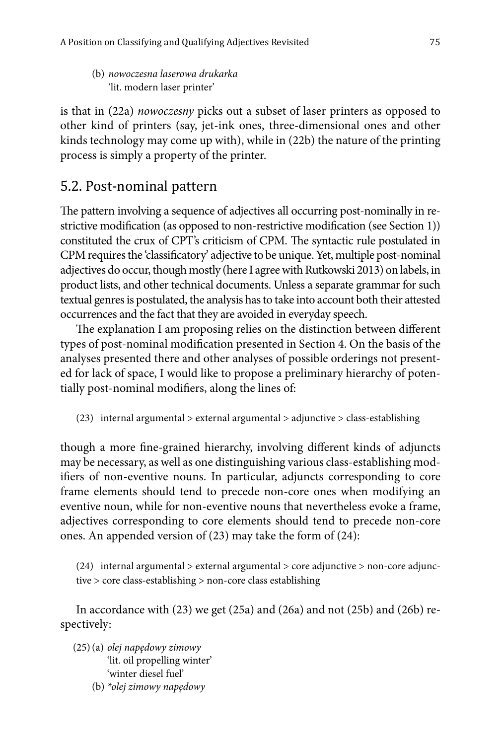(b) *nowoczesna laserowa drukarka* 'lit. modern laser printer'

is that in (22a) *nowoczesny* picks out a subset of laser printers as opposed to other kind of printers (say, jet-ink ones, three-dimensional ones and other kinds technology may come up with), while in (22b) the nature of the printing process is simply a property of the printer.

# 5.2. Post-nominal pattern

The pattern involving a sequence of adjectives all occurring post-nominally in restrictive modification (as opposed to non-restrictive modification (see Section 1)) constituted the crux of CPT's criticism of CPM. The syntactic rule postulated in CPM requires the 'classificatory' adjective to be unique. Yet, multiple post-nominal adjectives do occur, though mostly (here I agree with Rutkowski 2013) on labels, in product lists, and other technical documents. Unless a separate grammar for such textual genres is postulated, the analysis has to take into account both their attested occurrences and the fact that they are avoided in everyday speech.

The explanation I am proposing relies on the distinction between different types of post-nominal modification presented in Section 4. On the basis of the analyses presented there and other analyses of possible orderings not presented for lack of space, I would like to propose a preliminary hierarchy of potentially post-nominal modifiers, along the lines of:

(23) internal argumental > external argumental > adjunctive > class-establishing

though a more fine-grained hierarchy, involving different kinds of adjuncts may be necessary, as well as one distinguishing various class-establishing modifiers of non-eventive nouns. In particular, adjuncts corresponding to core frame elements should tend to precede non-core ones when modifying an eventive noun, while for non-eventive nouns that nevertheless evoke a frame, adjectives corresponding to core elements should tend to precede non-core ones. An appended version of (23) may take the form of (24):

(24) internal argumental  $>$  external argumental  $>$  core adjunctive  $>$  non-core adjunctive > core class-establishing > non-core class establishing

In accordance with  $(23)$  we get  $(25a)$  and  $(26a)$  and not  $(25b)$  and  $(26b)$  respectively:

- (25)(a) *olej napędowy zimowy* 'lit. oil propelling winter' 'winter diesel fuel'
	- (b) *\*olej zimowy napędowy*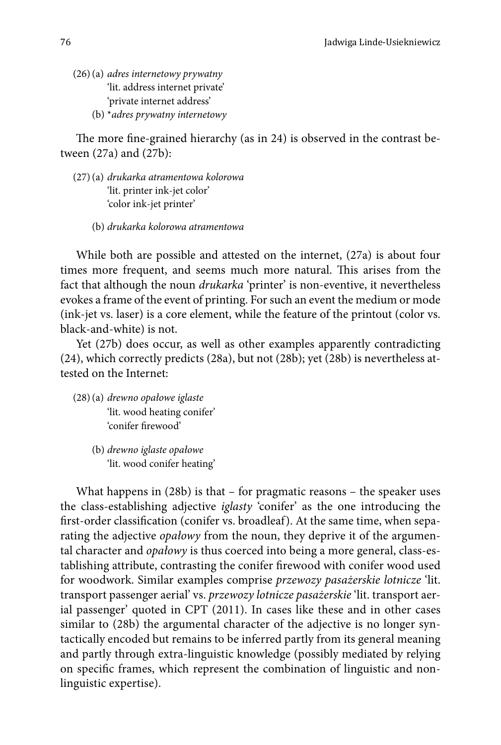- (26)(a) *adres internetowy prywatny* 'lit. address internet private' 'private internet address'
	- (b) \**adres prywatny internetowy*

The more fine-grained hierarchy (as in 24) is observed in the contrast between (27a) and (27b):

- (27)(a) *drukarka atramentowa kolorowa* 'lit. printer ink-jet color' 'color ink-jet printer'
	- (b) *drukarka kolorowa atramentowa*

While both are possible and attested on the internet, (27a) is about four times more frequent, and seems much more natural. This arises from the fact that although the noun *drukarka* 'printer' is non-eventive, it nevertheless evokes a frame of the event of printing. For such an event the medium or mode (ink-jet vs. laser) is a core element, while the feature of the printout (color vs. black-and-white) is not.

Yet (27b) does occur, as well as other examples apparently contradicting (24), which correctly predicts (28a), but not (28b); yet (28b) is nevertheless attested on the Internet:

- (28)(a) *drewno opałowe iglaste* 'lit. wood heating conifer' 'conifer firewood'
	- (b) *drewno iglaste opałowe* 'lit. wood conifer heating'

What happens in (28b) is that – for pragmatic reasons – the speaker uses the class-establishing adjective *iglasty* 'conifer' as the one introducing the first-order classification (conifer vs. broadleaf). At the same time, when separating the adjective *opałowy* from the noun, they deprive it of the argumental character and *opałowy* is thus coerced into being a more general, class-establishing attribute, contrasting the conifer firewood with conifer wood used for woodwork. Similar examples comprise *przewozy pasażerskie lotnicze* 'lit. transport passenger aerial' vs. *przewozy lotnicze pasażerskie* 'lit. transport aerial passenger' quoted in CPT (2011). In cases like these and in other cases similar to (28b) the argumental character of the adjective is no longer syntactically encoded but remains to be inferred partly from its general meaning and partly through extra-linguistic knowledge (possibly mediated by relying on specific frames, which represent the combination of linguistic and nonlinguistic expertise).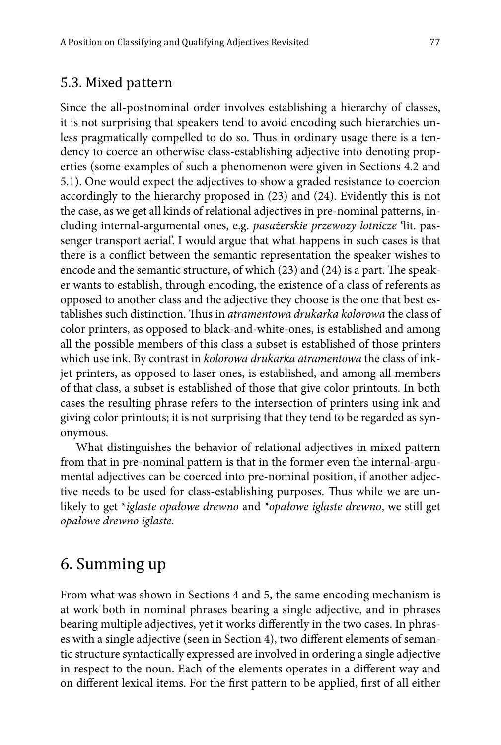#### 5.3. Mixed pattern

Since the all-postnominal order involves establishing a hierarchy of classes, it is not surprising that speakers tend to avoid encoding such hierarchies unless pragmatically compelled to do so. Thus in ordinary usage there is a tendency to coerce an otherwise class-establishing adjective into denoting properties (some examples of such a phenomenon were given in Sections 4.2 and 5.1). One would expect the adjectives to show a graded resistance to coercion accordingly to the hierarchy proposed in (23) and (24). Evidently this is not the case, as we get all kinds of relational adjectives in pre-nominal patterns, including internal-argumental ones, e.g. *pasażerskie przewozy lotnicze* 'lit. passenger transport aerial'. I would argue that what happens in such cases is that there is a conflict between the semantic representation the speaker wishes to encode and the semantic structure, of which (23) and (24) is a part. The speaker wants to establish, through encoding, the existence of a class of referents as opposed to another class and the adjective they choose is the one that best establishes such distinction. Thus in *atramentowa drukarka kolorowa* the class of color printers, as opposed to black-and-white-ones, is established and among all the possible members of this class a subset is established of those printers which use ink. By contrast in *kolorowa drukarka atramentowa* the class of inkjet printers, as opposed to laser ones, is established, and among all members of that class, a subset is established of those that give color printouts. In both cases the resulting phrase refers to the intersection of printers using ink and giving color printouts; it is not surprising that they tend to be regarded as synonymous.

What distinguishes the behavior of relational adjectives in mixed pattern from that in pre-nominal pattern is that in the former even the internal-argumental adjectives can be coerced into pre-nominal position, if another adjective needs to be used for class-establishing purposes. Thus while we are unlikely to get \**iglaste opałowe drewno* and *\*opałowe iglaste drewno*, we still get *opałowe drewno iglaste.*

# 6. Summing up

From what was shown in Sections 4 and 5, the same encoding mechanism is at work both in nominal phrases bearing a single adjective, and in phrases bearing multiple adjectives, yet it works differently in the two cases. In phrases with a single adjective (seen in Section 4), two different elements of semantic structure syntactically expressed are involved in ordering a single adjective in respect to the noun. Each of the elements operates in a different way and on different lexical items. For the first pattern to be applied, first of all either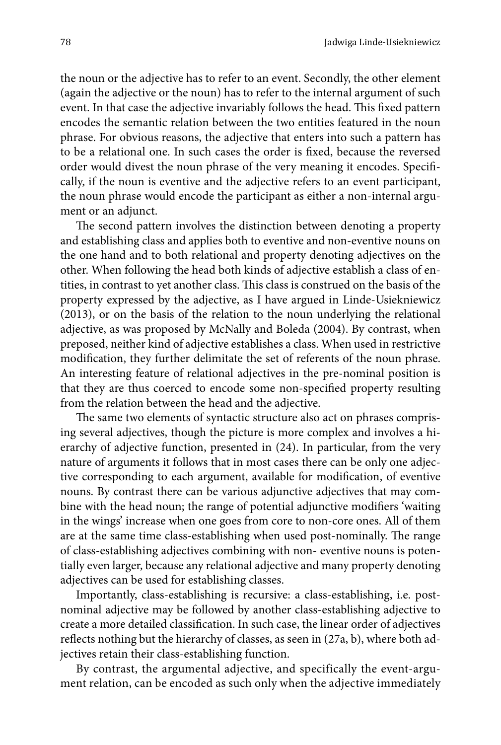the noun or the adjective has to refer to an event. Secondly, the other element (again the adjective or the noun) has to refer to the internal argument of such event. In that case the adjective invariably follows the head. This fixed pattern encodes the semantic relation between the two entities featured in the noun phrase. For obvious reasons, the adjective that enters into such a pattern has to be a relational one. In such cases the order is fixed, because the reversed order would divest the noun phrase of the very meaning it encodes. Specifically, if the noun is eventive and the adjective refers to an event participant, the noun phrase would encode the participant as either a non-internal argument or an adjunct.

The second pattern involves the distinction between denoting a property and establishing class and applies both to eventive and non-eventive nouns on the one hand and to both relational and property denoting adjectives on the other. When following the head both kinds of adjective establish a class of entities, in contrast to yet another class. This class is construed on the basis of the property expressed by the adjective, as I have argued in Linde-Usiekniewicz (2013), or on the basis of the relation to the noun underlying the relational adjective, as was proposed by McNally and Boleda (2004). By contrast, when preposed, neither kind of adjective establishes a class. When used in restrictive modification, they further delimitate the set of referents of the noun phrase. An interesting feature of relational adjectives in the pre-nominal position is that they are thus coerced to encode some non-specified property resulting from the relation between the head and the adjective.

The same two elements of syntactic structure also act on phrases comprising several adjectives, though the picture is more complex and involves a hierarchy of adjective function, presented in (24). In particular, from the very nature of arguments it follows that in most cases there can be only one adjective corresponding to each argument, available for modification, of eventive nouns. By contrast there can be various adjunctive adjectives that may combine with the head noun; the range of potential adjunctive modifiers 'waiting in the wings' increase when one goes from core to non-core ones. All of them are at the same time class-establishing when used post-nominally. The range of class-establishing adjectives combining with non- eventive nouns is potentially even larger, because any relational adjective and many property denoting adjectives can be used for establishing classes.

Importantly, class-establishing is recursive: a class-establishing, i.e. postnominal adjective may be followed by another class-establishing adjective to create a more detailed classification. In such case, the linear order of adjectives reflects nothing but the hierarchy of classes, as seen in (27a, b), where both adjectives retain their class-establishing function.

By contrast, the argumental adjective, and specifically the event-argument relation, can be encoded as such only when the adjective immediately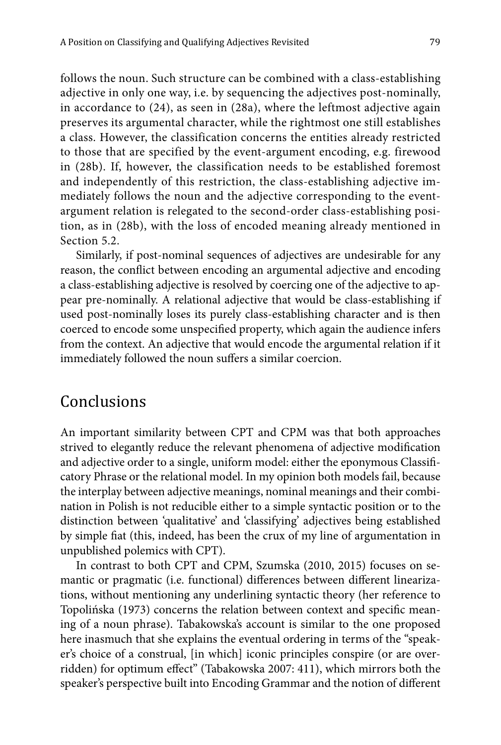follows the noun. Such structure can be combined with a class-establishing adjective in only one way, i.e. by sequencing the adjectives post-nominally, in accordance to (24), as seen in (28a), where the leftmost adjective again preserves its argumental character, while the rightmost one still establishes a class. However, the classification concerns the entities already restricted to those that are specified by the event-argument encoding, e.g. firewood in (28b). If, however, the classification needs to be established foremost and independently of this restriction, the class-establishing adjective immediately follows the noun and the adjective corresponding to the eventargument relation is relegated to the second-order class-establishing position, as in (28b), with the loss of encoded meaning already mentioned in Section 5.2.

Similarly, if post-nominal sequences of adjectives are undesirable for any reason, the conflict between encoding an argumental adjective and encoding a class-establishing adjective is resolved by coercing one of the adjective to appear pre-nominally. A relational adjective that would be class-establishing if used post-nominally loses its purely class-establishing character and is then coerced to encode some unspecified property, which again the audience infers from the context. An adjective that would encode the argumental relation if it immediately followed the noun suffers a similar coercion.

# **Conclusions**

An important similarity between CPT and CPM was that both approaches strived to elegantly reduce the relevant phenomena of adjective modification and adjective order to a single, uniform model: either the eponymous Classificatory Phrase or the relational model. In my opinion both models fail, because the interplay between adjective meanings, nominal meanings and their combination in Polish is not reducible either to a simple syntactic position or to the distinction between 'qualitative' and 'classifying' adjectives being established by simple fiat (this, indeed, has been the crux of my line of argumentation in unpublished polemics with CPT).

In contrast to both CPT and CPM, Szumska (2010, 2015) focuses on semantic or pragmatic (i.e. functional) differences between different linearizations, without mentioning any underlining syntactic theory (her reference to Topolińska (1973) concerns the relation between context and specific meaning of a noun phrase). Tabakowska's account is similar to the one proposed here inasmuch that she explains the eventual ordering in terms of the "speaker's choice of a construal, [in which] iconic principles conspire (or are overridden) for optimum effect" (Tabakowska 2007: 411), which mirrors both the speaker's perspective built into Encoding Grammar and the notion of different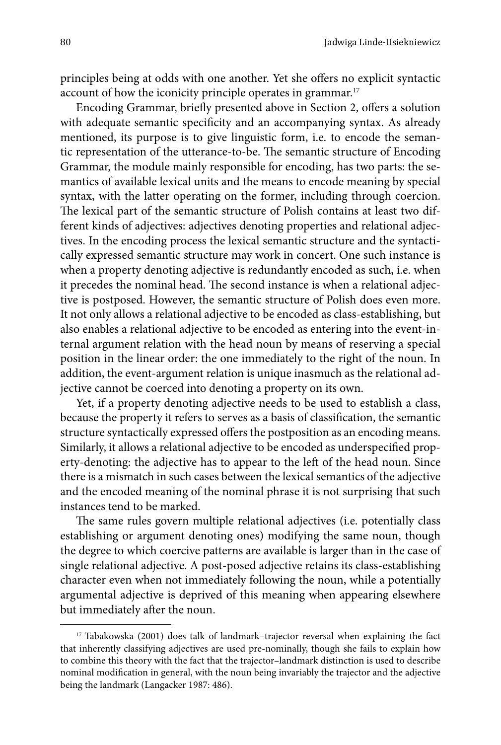principles being at odds with one another. Yet she offers no explicit syntactic account of how the iconicity principle operates in grammar.<sup>17</sup>

Encoding Grammar, briefly presented above in Section 2, offers a solution with adequate semantic specificity and an accompanying syntax. As already mentioned, its purpose is to give linguistic form, i.e. to encode the semantic representation of the utterance-to-be. The semantic structure of Encoding Grammar, the module mainly responsible for encoding, has two parts: the semantics of available lexical units and the means to encode meaning by special syntax, with the latter operating on the former, including through coercion. The lexical part of the semantic structure of Polish contains at least two different kinds of adjectives: adjectives denoting properties and relational adjectives. In the encoding process the lexical semantic structure and the syntactically expressed semantic structure may work in concert. One such instance is when a property denoting adjective is redundantly encoded as such, i.e. when it precedes the nominal head. The second instance is when a relational adjective is postposed. However, the semantic structure of Polish does even more. It not only allows a relational adjective to be encoded as class-establishing, but also enables a relational adjective to be encoded as entering into the event-internal argument relation with the head noun by means of reserving a special position in the linear order: the one immediately to the right of the noun. In addition, the event-argument relation is unique inasmuch as the relational adjective cannot be coerced into denoting a property on its own.

Yet, if a property denoting adjective needs to be used to establish a class, because the property it refers to serves as a basis of classification, the semantic structure syntactically expressed offers the postposition as an encoding means. Similarly, it allows a relational adjective to be encoded as underspecified property-denoting: the adjective has to appear to the left of the head noun. Since there is a mismatch in such cases between the lexical semantics of the adjective and the encoded meaning of the nominal phrase it is not surprising that such instances tend to be marked.

The same rules govern multiple relational adjectives (i.e. potentially class establishing or argument denoting ones) modifying the same noun, though the degree to which coercive patterns are available is larger than in the case of single relational adjective. A post-posed adjective retains its class-establishing character even when not immediately following the noun, while a potentially argumental adjective is deprived of this meaning when appearing elsewhere but immediately after the noun.

<sup>&</sup>lt;sup>17</sup> Tabakowska (2001) does talk of landmark–trajector reversal when explaining the fact that inherently classifying adjectives are used pre-nominally, though she fails to explain how to combine this theory with the fact that the trajector–landmark distinction is used to describe nominal modification in general, with the noun being invariably the trajector and the adjective being the landmark (Langacker 1987: 486).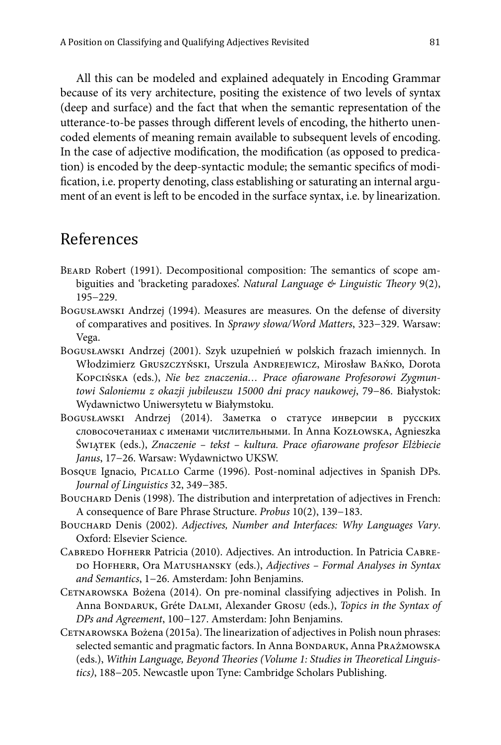All this can be modeled and explained adequately in Encoding Grammar because of its very architecture, positing the existence of two levels of syntax (deep and surface) and the fact that when the semantic representation of the utterance-to-be passes through different levels of encoding, the hitherto unencoded elements of meaning remain available to subsequent levels of encoding. In the case of adjective modification, the modification (as opposed to predication) is encoded by the deep-syntactic module; the semantic specifics of modification, i.e. property denoting, class establishing or saturating an internal argument of an event is left to be encoded in the surface syntax, i.e. by linearization.

### References

- Beard Robert (1991). Decompositional composition: The semantics of scope ambiguities and 'bracketing paradoxes'. *Natural Language & Linguistic Theory* 9(2), 195−229.
- Bogusławski Andrzej (1994). Measures are measures. On the defense of diversity of comparatives and positives. In *Sprawy słowa/Word Matters*, 323−329. Warsaw: Vega.
- Bogusławski Andrzej (2001). Szyk uzupełnień w polskich frazach imiennych. In Włodzimierz Gruszczyński, Urszula Andrejewicz, Mirosław Bańko, Dorota Kopcińska (eds.), *Nie bez znaczenia… Prace ofiarowane Profesorowi Zygmuntowi Saloniemu z okazji jubileuszu 15000 dni pracy naukowej*, 79−86. Białystok: Wydawnictwo Uniwersytetu w Białymstoku.
- Bogusławski Andrzej (2014). Заметка о статусе инверсии в русских словосочетаниах с именами числительными. In Anna Kozłowska, Agnieszka Świątek (eds.), *Znaczenie – tekst – kultura. Prace ofiarowane profesor Elżbiecie Janus*, 17−26. Warsaw: Wydawnictwo UKSW.
- Bosque Ignacio, Picallo Carme (1996). Post-nominal adjectives in Spanish DPs. *Journal of Linguistics* 32, 349−385.
- BOUCHARD Denis (1998). The distribution and interpretation of adjectives in French: A consequence of Bare Phrase Structure. *Probus* 10(2), 139−183.
- Bouchard Denis (2002). *Adjectives, Number and Interfaces: Why Languages Vary*. Oxford: Elsevier Science.
- Cabredo Hofherr Patricia (2010). Adjectives. An introduction. In Patricia Cabre-DO HOFHERR, Ora MATUSHANSKY (eds.), *Adjectives - Formal Analyses in Syntax and Semantics*, 1−26. Amsterdam: John Benjamins.
- Cetnarowska Bożena (2014). On pre-nominal classifying adjectives in Polish. In Anna Bondaruk, Gréte Dalmi, Alexander Grosu (eds.), *Topics in the Syntax of DPs and Agreement*, 100−127. Amsterdam: John Benjamins.
- CETNAROWSKA Bożena (2015a). The linearization of adjectives in Polish noun phrases: selected semantic and pragmatic factors. In Anna BONDARUK, Anna PRAŻMOWSKA (eds.), *Within Language, Beyond Theories (Volume 1: Studies in Theoretical Linguistics)*, 188−205. Newcastle upon Tyne: Cambridge Scholars Publishing.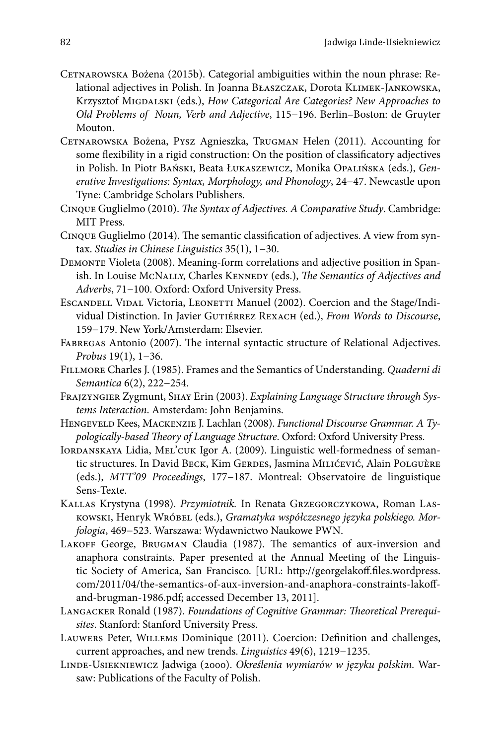- Cetnarowska Bożena (2015b). Categorial ambiguities within the noun phrase: Relational adjectives in Polish. In Joanna Błaszczak, Dorota Klimek-Jankowska, Krzysztof MIGDALSKI (eds.), *How Categorical Are Categories? New Approaches to Old Problems of Noun, Verb and Adjective*, 115−196. Berlin–Boston: de Gruyter Mouton.
- Cetnarowska Bożena, Pysz Agnieszka, Trugman Helen (2011). Accounting for some flexibility in a rigid construction: On the position of classificatory adjectives in Polish. In Piotr Bański, Beata Łukaszewicz, Monika Opalińska (eds.), *Generative Investigations: Syntax, Morphology, and Phonology*, 24−47. Newcastle upon Tyne: Cambridge Scholars Publishers.
- Cinque Guglielmo (2010). *The Syntax of Adjectives. A Comparative Study*. Cambridge: MIT Press.
- Cinque Guglielmo (2014). The semantic classification of adjectives. A view from syntax. *Studies in Chinese Linguistics* 35(1), 1−30.
- Demonte Violeta (2008). Meaning-form correlations and adjective position in Spanish. In Louise McNally, Charles Kennedy (eds.), *The Semantics of Adjectives and Adverbs*, 71−100. Oxford: Oxford University Press.
- ESCANDELL VIDAL Victoria, LEONETTI Manuel (2002). Coercion and the Stage/Individual Distinction. In Javier GUTIÉRREZ REXACH (ed.), From Words to Discourse, 159−179. New York/Amsterdam: Elsevier.
- Fabregas Antonio (2007). The internal syntactic structure of Relational Adjectives. *Probus* 19(1), 1−36.
- Fillmore Charles J. (1985). Frames and the Semantics of Understanding. *Quaderni di Semantica* 6(2), 222−254.
- Frajzyngier Zygmunt, Shay Erin (2003). *Explaining Language Structure through Systems Interaction*. Amsterdam: John Benjamins.
- Hengeveld Kees, Mackenzie J. Lachlan (2008). *Functional Discourse Grammar. A Typologically-based Theory of Language Structure*. Oxford: Oxford University Press.
- IORDANSKAYA Lidia, MEL'CUK Igor A. (2009). Linguistic well-formedness of semantic structures. In David BECK, Kim GERDES, Jasmina MILIĆEVIĆ, Alain POLGUÈRE (eds.), *MTT'09 Proceedings*, 177−187. Montreal: Observatoire de linguistique Sens-Texte.
- Kallas Krystyna (1998). *Przymiotnik.* In Renata Grzegorczykowa, Roman Laskowski, Henryk Wróbel (eds.), *Gramatyka współczesnego języka polskiego. Morfologia*, 469−523. Warszawa: Wydawnictwo Naukowe PWN.
- LAKOFF George, BRUGMAN Claudia (1987). The semantics of aux-inversion and anaphora constraints. Paper presented at the Annual Meeting of the Linguistic Society of America, San Francisco. [URL: http://georgelakoff.files.wordpress. com/2011/04/the-semantics-of-aux-inversion-and-anaphora-constraints-lakoffand-brugman-1986.pdf; accessed December 13, 2011].
- Langacker Ronald (1987). *Foundations of Cognitive Grammar: Theoretical Prerequisites*. Stanford: Stanford University Press.
- Lauwers Peter, Willems Dominique (2011). Coercion: Definition and challenges, current approaches, and new trends. *Linguistics* 49(6), 1219−1235.
- Linde-Usiekniewicz Jadwiga (2000). *Określenia wymiarów w języku polskim.* Warsaw: Publications of the Faculty of Polish.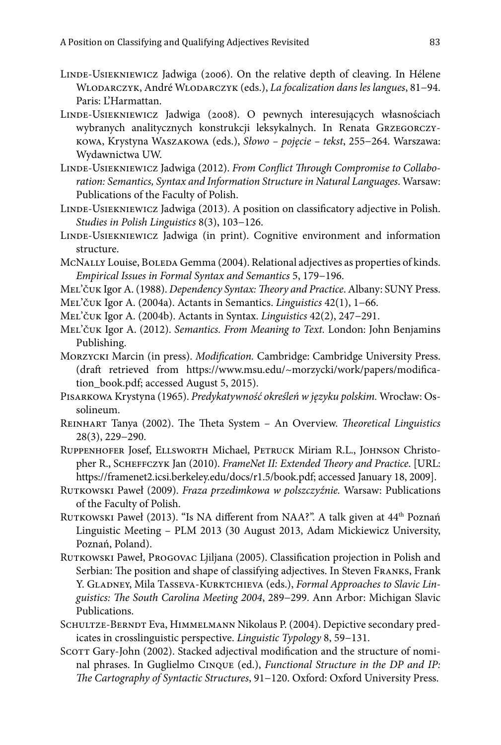- LINDE-USIEKNIEWICZ Jadwiga (2006). On the relative depth of cleaving. In Hélene Wlodarczyk, André Wlodarczyk (eds.), *La focalization dans les langues*, 81−94. Paris: L'Harmattan.
- Linde-Usiekniewicz Jadwiga (2008). O pewnych interesujących własnościach wybranych analitycznych konstrukcji leksykalnych. In Renata Grzegorczykowa, Krystyna Waszakowa (eds.), *Słowo – pojęcie – tekst*, 255−264. Warszawa: Wydawnictwa UW.
- Linde-Usiekniewicz Jadwiga (2012). *From Conflict Through Compromise to Collaboration: Semantics, Syntax and Information Structure in Natural Languages*. Warsaw: Publications of the Faculty of Polish.
- Linde-Usiekniewicz Jadwiga (2013). A position on classificatory adjective in Polish. *Studies in Polish Linguistics* 8(3), 103−126.
- Linde-Usiekniewicz Jadwiga (in print). Cognitive environment and information structure.
- McNALLY Louise, BOLEDA Gemma (2004). Relational adjectives as properties of kinds. *Empirical Issues in Formal Syntax and Semantics* 5, 179−196.

Mel'čuk Igor A. (1988). *Dependency Syntax: Theory and Practice*. Albany: SUNY Press.

- Mel'čuk Igor A. (2004a). Actants in Semantics. *Linguistics* 42(1), 1−66.
- Mel'čuk Igor A. (2004b). Actants in Syntax. *Linguistics* 42(2), 247−291.
- Mel'čuk Igor A. (2012). *Semantics. From Meaning to Text.* London: John Benjamins Publishing.
- Morzycki Marcin (in press). *Modification.* Cambridge: Cambridge University Press. (draft retrieved from https://www.msu.edu/~morzycki/work/papers/modification\_book.pdf; accessed August 5, 2015).

Pisarkowa Krystyna (1965). *Predykatywność określeń w języku polskim.* Wrocław: Ossolineum.

- Reinhart Tanya (2002). The Theta System An Overview. *Theoretical Linguistics* 28(3), 229−290.
- RUPPENHOFER Josef, ELLSWORTH Michael, PETRUCK Miriam R.L., JOHNSON Christopher R., Scheffczyk Jan (2010). *FrameNet II: Extended Theory and Practice*. [URL: https://framenet2.icsi.berkeley.edu/docs/r1.5/book.pdf; accessed January 18, 2009].
- Rutkowski Paweł (2009). *Fraza przedimkowa w polszczyźnie.* Warsaw: Publications of the Faculty of Polish.
- RUTKOWSKI Paweł (2013). "Is NA different from NAA?". A talk given at 44<sup>th</sup> Poznań Linguistic Meeting – PLM 2013 (30 August 2013, Adam Mickiewicz University, Poznań, Poland).
- RUTKOWSKI Paweł, PROGOVAC Ljiljana (2005). Classification projection in Polish and Serbian: The position and shape of classifying adjectives. In Steven Franks, Frank Y. GLADNEY, Mila TASSEVA-KURKTCHIEVA (eds.), *Formal Approaches to Slavic Linguistics: The South Carolina Meeting 2004*, 289−299. Ann Arbor: Michigan Slavic Publications.
- SCHULTZE-BERNDT Eva, HIMMELMANN Nikolaus P. (2004). Depictive secondary predicates in crosslinguistic perspective. *Linguistic Typology* 8, 59−131.
- SCOTT Gary-John (2002). Stacked adjectival modification and the structure of nominal phrases. In Guglielmo Cinque (ed.), *Functional Structure in the DP and IP: The Cartography of Syntactic Structures*, 91−120. Oxford: Oxford University Press.